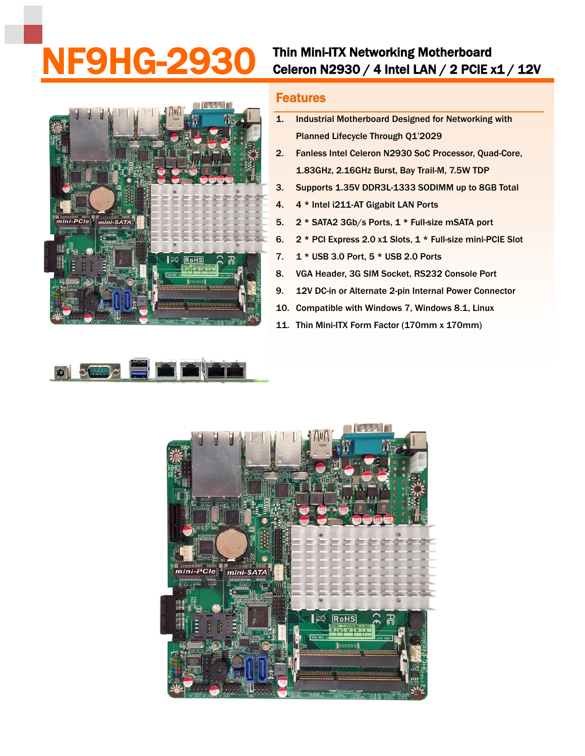## NF9HG-2930 Thin Mini-ITX Networking Motherboard<br>Celeron N2930 / 4 Intel LAN / 2 PCIE x1 / 12V



## Features

- 1. Industrial Motherboard Designed for Networking with Planned Lifecycle Through Q1'2029
- 2. Fanless Intel Celeron N2930 SoC Processor, Quad-Core, 1.83GHz, 2.16GHz Burst, Bay Trail-M, 7.5W TDP
- 3. Supports 1.35V DDR3L-1333 SODIMM up to 8GB Total
- 4. 4 \* Intel i211-AT Gigabit LAN Ports
- 5. 2 \* SATA2 3Gb/s Ports, 1 \* Full-size mSATA port
- 6. 2 \* PCI Express 2.0 x1 Slots, 1 \* Full-size mini-PCIE Slot
- 7. 1 \* USB 3.0 Port, 5 \* USB 2.0 Ports
- 8. VGA Header, 3G SIM Socket, RS232 Console Port
- 9. 12V DC-in or Alternate 2-pin Internal Power Connector
- 10. Compatible with Windows 7, Windows 8.1, Linux
- 11. Thin Mini-ITX Form Factor (170mm x 170mm)